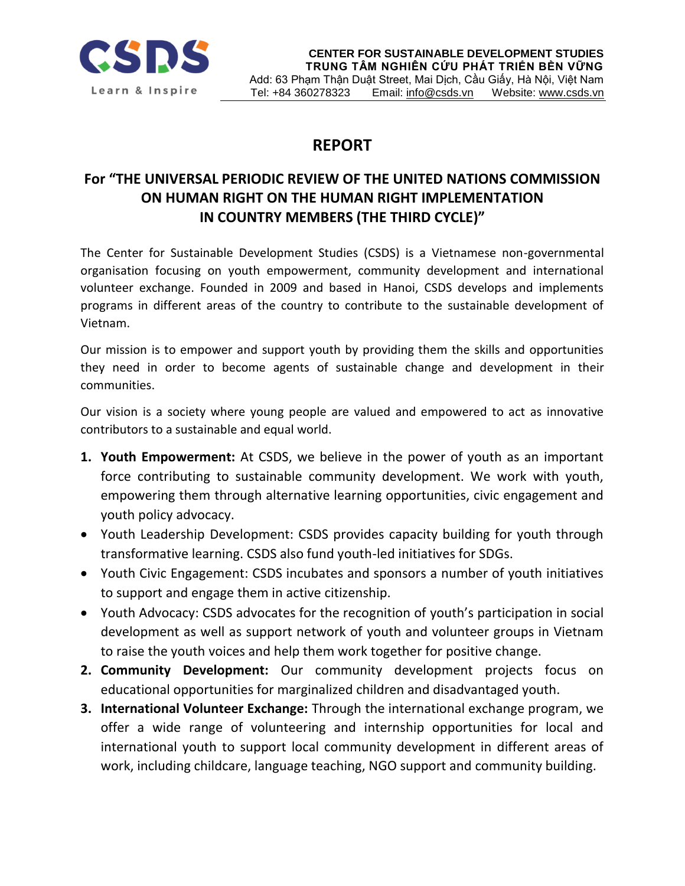

## **REPORT**

## **For "THE UNIVERSAL PERIODIC REVIEW OF THE UNITED NATIONS COMMISSION ON HUMAN RIGHT ON THE HUMAN RIGHT IMPLEMENTATION IN COUNTRY MEMBERS (THE THIRD CYCLE)"**

The Center for Sustainable Development Studies (CSDS) is a Vietnamese non-governmental organisation focusing on youth empowerment, community development and international volunteer exchange. Founded in 2009 and based in Hanoi, CSDS develops and implements programs in different areas of the country to contribute to the sustainable development of Vietnam.

Our mission is to empower and support youth by providing them the skills and opportunities they need in order to become agents of sustainable change and development in their communities.

Our vision is a society where young people are valued and empowered to act as innovative contributors to a sustainable and equal world.

- **1. Youth Empowerment:** At CSDS, we believe in the power of youth as an important force contributing to sustainable community development. We work with youth, empowering them through alternative learning opportunities, civic engagement and youth policy advocacy.
- Youth Leadership Development: CSDS provides capacity building for youth through transformative learning. CSDS also fund youth-led initiatives for SDGs.
- Youth Civic Engagement: CSDS incubates and sponsors a number of youth initiatives to support and engage them in active citizenship.
- Youth Advocacy: CSDS advocates for the recognition of youth's participation in social development as well as support network of youth and volunteer groups in Vietnam to raise the youth voices and help them work together for positive change.
- **2. Community Development:** Our community development projects focus on educational opportunities for marginalized children and disadvantaged youth.
- **3. International Volunteer Exchange:** Through the international exchange program, we offer a wide range of volunteering and internship opportunities for local and international youth to support local community development in different areas of work, including childcare, language teaching, NGO support and community building.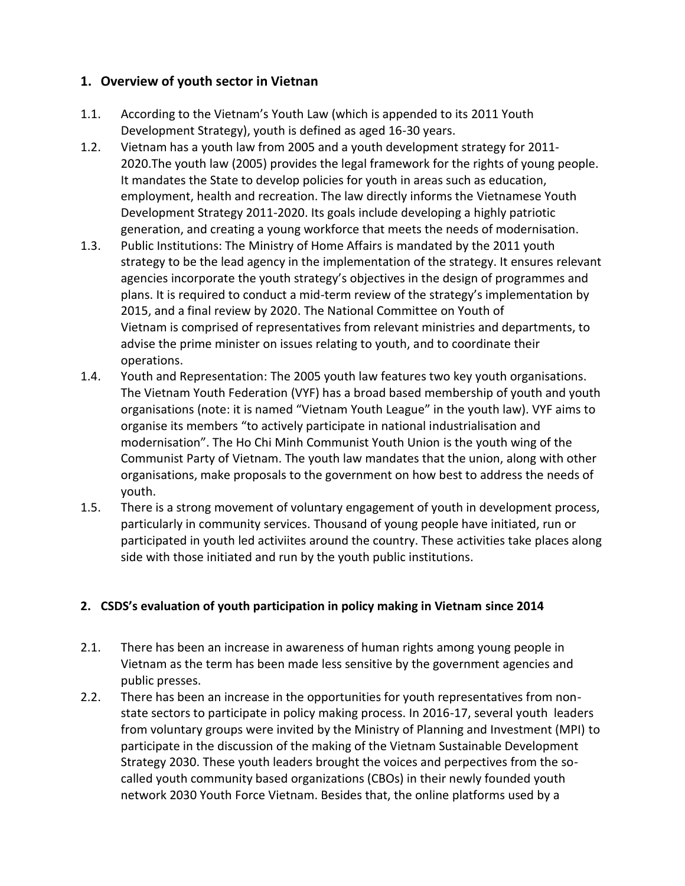## **1. Overview of youth sector in Vietnan**

- 1.1. According to the Vietnam's Youth Law (which is appended to its [2011 Youth](http://www.youthpolicy.org/national/Vietnam_2011_Youth_Development_Strategy.pdf)  [Development Strategy\)](http://www.youthpolicy.org/national/Vietnam_2011_Youth_Development_Strategy.pdf), youth is defined as aged 16-30 years.
- 1.2. Vietnam has a [youth law](http://www.youthpolicy.org/national/Vietnam_2005_National_Youth_Law.pdf) from 2005 and a [youth development strategy](http://www.youthpolicy.org/national/Vietnam_2011_Youth_Development_Strategy.pdf) for 2011- 2020.The [youth law](http://www.youthpolicy.org/national/Vietnam_2005_National_Youth_Law.pdf) (2005) provides the legal framework for the rights of young people. It mandates the State to develop policies for youth in areas such as education, employment, health and recreation. The law directly informs the [Vietnamese Youth](http://www.youthpolicy.org/national/Vietnam_2011_Youth_Development_Strategy.pdf)  [Development Strategy 2011-2020.](http://www.youthpolicy.org/national/Vietnam_2011_Youth_Development_Strategy.pdf) Its goals include developing a highly patriotic generation, and creating a young workforce that meets the needs of modernisation.
- 1.3. Public Institutions: The [Ministry of Home Affairs](http://moha.gov.vn/) is mandated by the [2011 youth](http://www.youthpolicy.org/national/Vietnam_2011_Youth_Development_Strategy.pdf)  [strategy](http://www.youthpolicy.org/national/Vietnam_2011_Youth_Development_Strategy.pdf) to be the lead agency in the implementation of the strategy. It ensures relevant agencies incorporate the youth strategy's objectives in the design of programmes and plans. It is required to conduct a mid-term review of the strategy's implementation by 2015, and a final review by 2020. The [National Committee on Youth of](http://english.doanthanhnien.vn/Article-category/318/Ncyv.htm)  [Vietnam](http://english.doanthanhnien.vn/Article-category/318/Ncyv.htm) is comprised of representatives from relevant ministries and departments, to advise the prime minister on issues relating to youth, and to coordinate their operations.
- 1.4. Youth and Representation: The [2005 youth law](http://www.youthpolicy.org/national/Vietnam_2005_National_Youth_Law.pdf) features two key youth organisations. The [Vietnam Youth Federation](http://english.doanthanhnien.vn/Article-category/320/Vyf.htm) (VYF) has a broad based membership of youth and youth organisations (note: it is named "Vietnam Youth League" in the youth law). VYF aims to organise its members "to actively participate in national industrialisation and modernisation". The [Ho Chi Minh Communist Youth Union](http://english.doanthanhnien.vn/) is the youth wing of the Communist Party of Vietnam. The youth law mandates that the union, along with other organisations, make proposals to the government on how best to address the needs of youth.
- 1.5. There is a strong movement of voluntary engagement of youth in development process, particularly in community services. Thousand of young people have initiated, run or participated in youth led activiites around the country. These activities take places along side with those initiated and run by the youth public institutions.

## **2. CSDS's evaluation of youth participation in policy making in Vietnam since 2014**

- 2.1. There has been an increase in awareness of human rights among young people in Vietnam as the term has been made less sensitive by the government agencies and public presses.
- 2.2. There has been an increase in the opportunities for youth representatives from nonstate sectors to participate in policy making process. In 2016-17, several youth leaders from voluntary groups were invited by the Ministry of Planning and Investment (MPI) to participate in the discussion of the making of the Vietnam Sustainable Development Strategy 2030. These youth leaders brought the voices and perpectives from the socalled youth community based organizations (CBOs) in their newly founded youth network 2030 Youth Force Vietnam. Besides that, the online platforms used by a